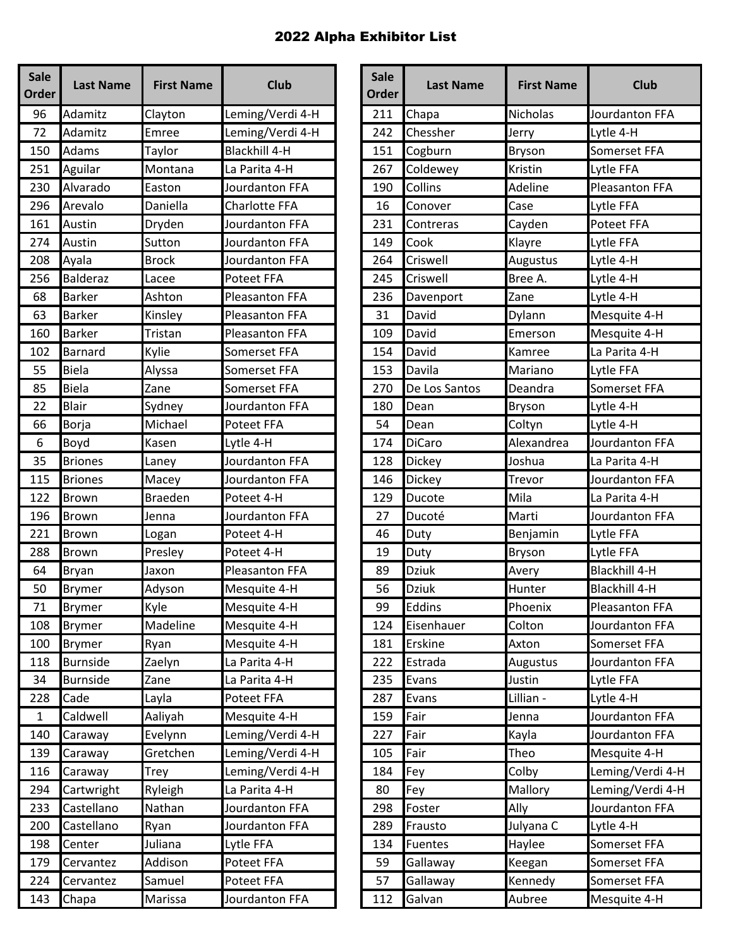| <b>Sale</b><br><b>Order</b> | <b>Last Name</b> | <b>First Name</b> | <b>Club</b>           | <b>Sale</b><br>Order | <b>Last Name</b> | <b>First Name</b> | <b>Club</b>          |
|-----------------------------|------------------|-------------------|-----------------------|----------------------|------------------|-------------------|----------------------|
| 96                          | Adamitz          | Clayton           | Leming/Verdi 4-H      | 211                  | Chapa            | Nicholas          | Jourdanton FI        |
| 72                          | Adamitz          | Emree             | Leming/Verdi 4-H      | 242                  | Chessher         | Jerry             | Lytle 4-H            |
| 150                         | Adams            | Taylor            | <b>Blackhill 4-H</b>  | 151                  | Cogburn          | <b>Bryson</b>     | Somerset FFA         |
| 251                         | Aguilar          | Montana           | La Parita 4-H         | 267                  | Coldewey         | Kristin           | Lytle FFA            |
| 230                         | Alvarado         | Easton            | Jourdanton FFA        | 190                  | Collins          | Adeline           | Pleasanton FF        |
| 296                         | Arevalo          | Daniella          | Charlotte FFA         | 16                   | Conover          | Case              | Lytle FFA            |
| 161                         | Austin           | Dryden            | Jourdanton FFA        | 231                  | Contreras        | Cayden            | <b>Poteet FFA</b>    |
| 274                         | Austin           | Sutton            | Jourdanton FFA        | 149                  | Cook             | Klayre            | Lytle FFA            |
| 208                         | Ayala            | <b>Brock</b>      | Jourdanton FFA        | 264                  | Criswell         | Augustus          | Lytle 4-H            |
| 256                         | <b>Balderaz</b>  | Lacee             | Poteet FFA            | 245                  | Criswell         | Bree A.           | Lytle 4-H            |
| 68                          | <b>Barker</b>    | Ashton            | Pleasanton FFA        | 236                  | Davenport        | Zane              | Lytle 4-H            |
| 63                          | <b>Barker</b>    | Kinsley           | Pleasanton FFA        | 31                   | David            | Dylann            | Mesquite 4-H         |
| 160                         | <b>Barker</b>    | Tristan           | <b>Pleasanton FFA</b> | 109                  | David            | Emerson           | Mesquite 4-H         |
| 102                         | Barnard          | Kylie             | Somerset FFA          | 154                  | David            | Kamree            | La Parita 4-H        |
| 55                          | <b>Biela</b>     | Alyssa            | Somerset FFA          | 153                  | Davila           | Mariano           | Lytle FFA            |
| 85                          | <b>Biela</b>     | Zane              | Somerset FFA          | 270                  | De Los Santos    | Deandra           | Somerset FFA         |
| 22                          | <b>Blair</b>     | Sydney            | Jourdanton FFA        | 180                  | Dean             | <b>Bryson</b>     | Lytle 4-H            |
| 66                          | Borja            | Michael           | Poteet FFA            | 54                   | Dean             | Coltyn            | Lytle 4-H            |
| 6                           | Boyd             | Kasen             | Lytle 4-H             | 174                  | <b>DiCaro</b>    | Alexandrea        | Jourdanton FI        |
| 35                          | <b>Briones</b>   | Laney             | Jourdanton FFA        | 128                  | <b>Dickey</b>    | Joshua            | La Parita 4-H        |
| 115                         | <b>Briones</b>   | Macey             | Jourdanton FFA        | 146                  | Dickey           | Trevor            | Jourdanton FI        |
| 122                         | <b>Brown</b>     | <b>Braeden</b>    | Poteet 4-H            | 129                  | Ducote           | Mila              | La Parita 4-H        |
| 196                         | <b>Brown</b>     | Jenna             | Jourdanton FFA        | 27                   | Ducoté           | Marti             | Jourdanton FI        |
| 221                         | <b>Brown</b>     | Logan             | Poteet 4-H            | 46                   | Duty             | Benjamin          | Lytle FFA            |
| 288                         | Brown            | Presley           | Poteet 4-H            | 19                   | Duty             | Bryson            | Lytle FFA            |
| 64                          | Bryan            | Jaxon             | Pleasanton FFA        | 89                   | <b>Dziuk</b>     | Avery             | <b>Blackhill 4-H</b> |
| 50                          | <b>Brymer</b>    | Adyson            | Mesquite 4-H          | 56                   | <b>Dziuk</b>     | Hunter            | Blackhill 4-H        |
| 71                          | <b>Brymer</b>    | Kyle              | Mesquite 4-H          | 99                   | Eddins           | Phoenix           | Pleasanton FF        |
| 108                         | <b>Brymer</b>    | Madeline          | Mesquite 4-H          | 124                  | Eisenhauer       | Colton            | Jourdanton FI        |
| 100                         | <b>Brymer</b>    | Ryan              | Mesquite 4-H          | 181                  | Erskine          | Axton             | Somerset FFA         |
| 118                         | <b>Burnside</b>  | Zaelyn            | La Parita 4-H         | 222                  | Estrada          | Augustus          | Jourdanton FF        |
| 34                          | <b>Burnside</b>  | Zane              | La Parita 4-H         | 235                  | Evans            | Justin            | Lytle FFA            |
| 228                         | Cade             | Layla             | Poteet FFA            | 287                  | Evans            | Lillian -         | Lytle 4-H            |
| $\mathbf{1}$                | Caldwell         | Aaliyah           | Mesquite 4-H          | 159                  | Fair             | Jenna             | Jourdanton FF        |
| 140                         | Caraway          | Evelynn           | Leming/Verdi 4-H      | 227                  | Fair             | Kayla             | Jourdanton FI        |
| 139                         | Caraway          | Gretchen          | Leming/Verdi 4-H      | 105                  | Fair             | Theo              | Mesquite 4-H         |
| 116                         | Caraway          | Trey              | Leming/Verdi 4-H      | 184                  | Fey              | Colby             | Leming/Verdi         |
| 294                         | Cartwright       | Ryleigh           | La Parita 4-H         | 80                   | Fey              | Mallory           | Leming/Verdi         |
| 233                         | Castellano       | Nathan            | Jourdanton FFA        | 298                  | Foster           | Ally              | Jourdanton FF        |
| 200                         | Castellano       | Ryan              | Jourdanton FFA        | 289                  | Frausto          | Julyana C         | Lytle 4-H            |
| 198                         | Center           | Juliana           | Lytle FFA             | 134                  | <b>Fuentes</b>   | Haylee            | Somerset FFA         |
| 179                         | Cervantez        | Addison           | Poteet FFA            | 59                   | Gallaway         | Keegan            | Somerset FFA         |
| 224                         | Cervantez        | Samuel            | Poteet FFA            | 57                   | Gallaway         | Kennedy           | Somerset FFA         |
| 143                         | Chapa            | Marissa           | Jourdanton FFA        | 112                  | Galvan           | Aubree            | Mesquite 4-H         |

| <b>Sale</b><br>rder | <b>Last Name</b> | <b>First Name</b> | <b>Club</b>           | <b>Sale</b><br><b>Order</b> | <b>Last Name</b> | <b>First Name</b> | <b>Club</b>           |
|---------------------|------------------|-------------------|-----------------------|-----------------------------|------------------|-------------------|-----------------------|
| 96                  | Adamitz          | Clayton           | Leming/Verdi 4-H      | 211                         | Chapa            | <b>Nicholas</b>   | Jourdanton FFA        |
| 72                  | Adamitz          | Emree             | Leming/Verdi 4-H      | 242                         | Chessher         | Jerry             | Lytle 4-H             |
| 150                 | Adams            | Taylor            | <b>Blackhill 4-H</b>  | 151                         | Cogburn          | <b>Bryson</b>     | Somerset FFA          |
| 251                 | Aguilar          | Montana           | La Parita 4-H         | 267                         | Coldewey         | Kristin           | Lytle FFA             |
| 230                 | Alvarado         | Easton            | Jourdanton FFA        | 190                         | Collins          | Adeline           | <b>Pleasanton FFA</b> |
| 296                 | Arevalo          | Daniella          | Charlotte FFA         | 16                          | Conover          | Case              | Lytle FFA             |
| 161                 | Austin           | Dryden            | Jourdanton FFA        | 231                         | Contreras        | Cayden            | <b>Poteet FFA</b>     |
| 274                 | Austin           | Sutton            | Jourdanton FFA        | 149                         | Cook             | Klayre            | Lytle FFA             |
| 208                 | Ayala            | <b>Brock</b>      | Jourdanton FFA        | 264                         | Criswell         | Augustus          | Lytle 4-H             |
| 256                 | <b>Balderaz</b>  | Lacee             | <b>Poteet FFA</b>     | 245                         | Criswell         | Bree A.           | Lytle 4-H             |
| 68                  | <b>Barker</b>    | Ashton            | <b>Pleasanton FFA</b> | 236                         | Davenport        | Zane              | Lytle 4-H             |
| 63                  | <b>Barker</b>    | Kinsley           | <b>Pleasanton FFA</b> | 31                          | David            | Dylann            | Mesquite 4-H          |
| 160                 | <b>Barker</b>    | Tristan           | <b>Pleasanton FFA</b> | 109                         | David            | Emerson           | Mesquite 4-H          |
| 102                 | Barnard          | Kylie             | Somerset FFA          | 154                         | David            | Kamree            | La Parita 4-H         |
| 55                  | <b>Biela</b>     | Alyssa            | Somerset FFA          | 153                         | Davila           | Mariano           | Lytle FFA             |
| 85                  | <b>Biela</b>     | Zane              | Somerset FFA          | 270                         | De Los Santos    | Deandra           | Somerset FFA          |
| 22                  | Blair            | Sydney            | Jourdanton FFA        | 180                         | Dean             | <b>Bryson</b>     | Lytle 4-H             |
| 66                  | Borja            | Michael           | Poteet FFA            | 54                          | Dean             | Coltyn            | Lytle 4-H             |
| 6                   | Boyd             | Kasen             | Lytle 4-H             | 174                         | <b>DiCaro</b>    | Alexandrea        | Jourdanton FFA        |
| 35                  | <b>Briones</b>   | Laney             | Jourdanton FFA        | 128                         | <b>Dickey</b>    | Joshua            | La Parita 4-H         |
| 115                 | <b>Briones</b>   | Macey             | Jourdanton FFA        | 146                         | Dickey           | Trevor            | Jourdanton FFA        |
| 122                 | <b>Brown</b>     | <b>Braeden</b>    | Poteet 4-H            | 129                         | Ducote           | Mila              | La Parita 4-H         |
| 196                 | <b>Brown</b>     | Jenna             | Jourdanton FFA        | 27                          | Ducoté           | Marti             | Jourdanton FFA        |
| 221                 | <b>Brown</b>     | Logan             | Poteet 4-H            | 46                          | Duty             | Benjamin          | Lytle FFA             |
| 288                 | Brown            | Presley           | Poteet 4-H            | 19                          | Duty             | <b>Bryson</b>     | Lytle FFA             |
| 64                  | <b>Bryan</b>     | Jaxon             | <b>Pleasanton FFA</b> | 89                          | <b>Dziuk</b>     | Avery             | <b>Blackhill 4-H</b>  |
| 50                  | <b>Brymer</b>    | Adyson            | Mesquite 4-H          | 56                          | <b>Dziuk</b>     | Hunter            | <b>Blackhill 4-H</b>  |
| 71                  | <b>Brymer</b>    | Kyle              | Mesquite 4-H          | 99                          | Eddins           | Phoenix           | Pleasanton FFA        |
| 108                 | <b>Brymer</b>    | Madeline          | Mesquite 4-H          | 124                         | Eisenhauer       | Colton            | Jourdanton FFA        |
| 100                 | <b>Brymer</b>    | Ryan              | Mesquite 4-H          | 181                         | Erskine          | Axton             | Somerset FFA          |
| 118                 | <b>Burnside</b>  | Zaelyn            | La Parita 4-H         | 222                         | Estrada          | Augustus          | Jourdanton FFA        |
| 34                  | <b>Burnside</b>  | Zane              | La Parita 4-H         | 235                         | Evans            | Justin            | Lytle FFA             |
| 228                 | Cade             | Layla             | Poteet FFA            | 287                         | Evans            | Lillian -         | Lytle 4-H             |
| $\mathbf{1}$        | Caldwell         | Aaliyah           | Mesquite 4-H          | 159                         | Fair             | Jenna             | Jourdanton FFA        |
| 140                 | Caraway          | Evelynn           | Leming/Verdi 4-H      | 227                         | Fair             | Kayla             | Jourdanton FFA        |
| 139                 | Caraway          | Gretchen          | Leming/Verdi 4-H      | 105                         | Fair             | Theo              | Mesquite 4-H          |
| 116                 | Caraway          | Trey              | Leming/Verdi 4-H      | 184                         | Fey              | Colby             | Leming/Verdi 4-H      |
| 294                 | Cartwright       | Ryleigh           | La Parita 4-H         | 80                          | Fey              | Mallory           | Leming/Verdi 4-H      |
| 233                 | Castellano       | Nathan            | Jourdanton FFA        | 298                         | Foster           | Ally              | Jourdanton FFA        |
| 200                 | Castellano       | Ryan              | Jourdanton FFA        | 289                         | Frausto          | Julyana C         | Lytle 4-H             |
| 198                 | Center           | Juliana           | Lytle FFA             | 134                         | Fuentes          | Haylee            | Somerset FFA          |
| 179                 | Cervantez        | Addison           | Poteet FFA            | 59                          | Gallaway         | Keegan            | Somerset FFA          |
| 224                 | Cervantez        | Samuel            | Poteet FFA            | 57                          | Gallaway         | Kennedy           | Somerset FFA          |
| 143                 | Chapa            | Marissa           | Jourdanton FFA        | 112                         | Galvan           | Aubree            | Mesquite 4-H          |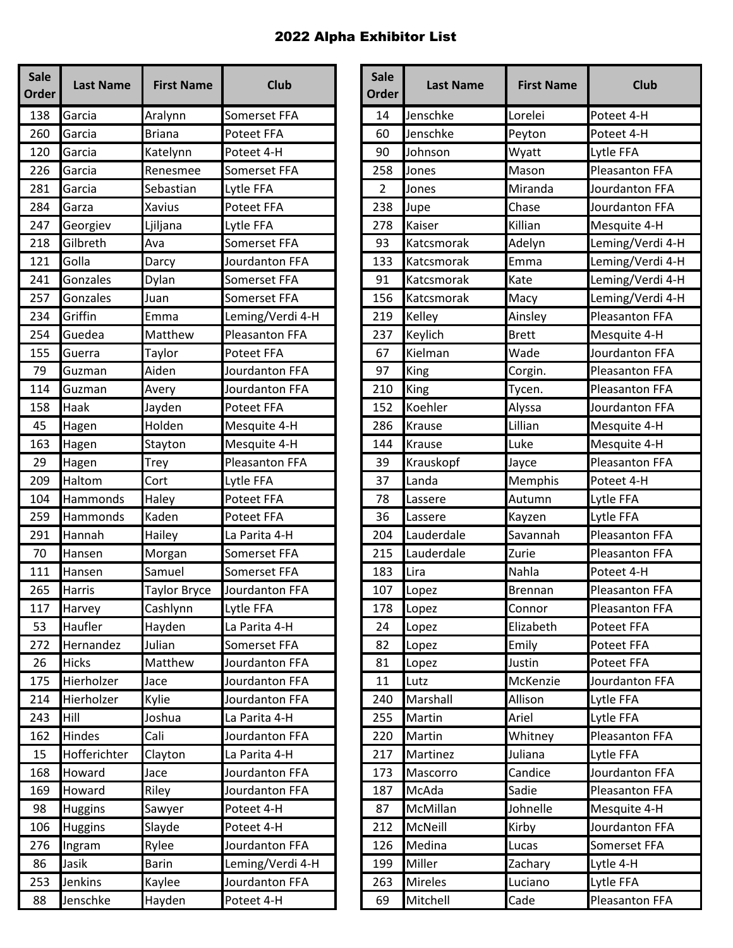| <b>Sale</b><br>Order | <b>Last Name</b> | <b>First Name</b> | <b>Club</b>           | <b>Sale</b><br><b>Order</b> | <b>Last Name</b> | <b>First Name</b> | <b>Club</b>          |
|----------------------|------------------|-------------------|-----------------------|-----------------------------|------------------|-------------------|----------------------|
| 138                  | Garcia           | Aralynn           | Somerset FFA          | 14                          | Jenschke         | Lorelei           | Poteet 4-H           |
| 260                  | Garcia           | <b>Briana</b>     | <b>Poteet FFA</b>     | 60                          | Jenschke         | Peyton            | Poteet 4-H           |
| 120                  | Garcia           | Katelynn          | Poteet 4-H            | 90                          | Johnson          | Wyatt             | Lytle FFA            |
| 226                  | Garcia           | Renesmee          | Somerset FFA          | 258                         | Jones            | Mason             | Pleasanton FF        |
| 281                  | Garcia           | Sebastian         | Lytle FFA             | $\overline{2}$              | Jones            | Miranda           | Jourdanton FI        |
| 284                  | Garza            | Xavius            | Poteet FFA            | 238                         | Jupe             | Chase             | Jourdanton FF        |
| 247                  | Georgiev         | Ljiljana          | Lytle FFA             | 278                         | Kaiser           | Killian           | Mesquite 4-H         |
| 218                  | Gilbreth         | Ava               | Somerset FFA          | 93                          | Katcsmorak       | Adelyn            | Leming/Verdi         |
| 121                  | Golla            | Darcy             | Jourdanton FFA        | 133                         | Katcsmorak       | Emma              | Leming/Verdi         |
| 241                  | Gonzales         | Dylan             | Somerset FFA          | 91                          | Katcsmorak       | Kate              | Leming/Verdi         |
| 257                  | Gonzales         | Juan              | Somerset FFA          | 156                         | Katcsmorak       | Macy              | Leming/Verdi         |
| 234                  | Griffin          | Emma              | Leming/Verdi 4-H      | 219                         | Kelley           | Ainsley           | Pleasanton FF        |
| 254                  | Guedea           | Matthew           | <b>Pleasanton FFA</b> | 237                         | Keylich          | <b>Brett</b>      | Mesquite 4-H         |
| 155                  | Guerra           | Taylor            | Poteet FFA            | 67                          | Kielman          | Wade              | Jourdanton FI        |
| 79                   | Guzman           | Aiden             | Jourdanton FFA        | 97                          | King             | Corgin.           | Pleasanton FF        |
| 114                  | Guzman           | Avery             | Jourdanton FFA        | 210                         | King             | Tycen.            | Pleasanton FF        |
| 158                  | Haak             | Jayden            | Poteet FFA            | 152                         | Koehler          | Alyssa            | Jourdanton FI        |
| 45                   | Hagen            | Holden            | Mesquite 4-H          | 286                         | <b>Krause</b>    | Lillian           | Mesquite 4-H         |
| 163                  | Hagen            | Stayton           | Mesquite 4-H          | 144                         | <b>Krause</b>    | Luke              | Mesquite 4-H         |
| 29                   | Hagen            | Trey              | Pleasanton FFA        | 39                          | Krauskopf        | Jayce             | Pleasanton FF        |
| 209                  | Haltom           | Cort              | Lytle FFA             | 37                          | Landa            | Memphis           | Poteet 4-H           |
| 104                  | Hammonds         | Haley             | Poteet FFA            | 78                          | Lassere          | Autumn            | Lytle FFA            |
| 259                  | Hammonds         | Kaden             | Poteet FFA            | 36                          | Lassere          | Kayzen            | Lytle FFA            |
| 291                  | Hannah           | Hailey            | La Parita 4-H         | 204                         | Lauderdale       | Savannah          | Pleasanton FF        |
| 70                   | Hansen           | Morgan            | Somerset FFA          | 215                         | Lauderdale       | Zurie             | Pleasanton FF        |
| 111                  | Hansen           | Samuel            | Somerset FFA          | 183                         | Lira             | Nahla             | Poteet 4-H           |
| 265                  | Harris           | Taylor Bryce      | Jourdanton FFA        | 107                         | Lopez            | <b>Brennan</b>    | Pleasanton FF        |
| 117                  | Harvey           | Cashlynn          | Lytle FFA             | 178                         | Lopez            | Connor            | <b>Pleasanton FF</b> |
| 53                   | Haufler          | Hayden            | La Parita 4-H         | 24                          | Lopez            | Elizabeth         | Poteet FFA           |
| 272                  | Hernandez        | Julian            | Somerset FFA          | 82                          | Lopez            | Emily             | Poteet FFA           |
| 26                   | <b>Hicks</b>     | Matthew           | Jourdanton FFA        | 81                          | Lopez            | Justin            | Poteet FFA           |
| 175                  | Hierholzer       | Jace              | Jourdanton FFA        | 11                          | Lutz             | McKenzie          | Jourdanton FF        |
| 214                  | Hierholzer       | Kylie             | Jourdanton FFA        | 240                         | Marshall         | Allison           | Lytle FFA            |
| 243                  | Hill             | Joshua            | La Parita 4-H         | 255                         | Martin           | Ariel             | Lytle FFA            |
| 162                  | Hindes           | Cali              | Jourdanton FFA        | 220                         | Martin           | Whitney           | Pleasanton FF        |
| 15                   | Hofferichter     | Clayton           | La Parita 4-H         | 217                         | Martinez         | Juliana           | Lytle FFA            |
| 168                  | Howard           | Jace              | Jourdanton FFA        | 173                         | Mascorro         | Candice           | Jourdanton FI        |
| 169                  | Howard           | Riley             | Jourdanton FFA        | 187                         | McAda            | Sadie             | Pleasanton FF        |
| 98                   | <b>Huggins</b>   | Sawyer            | Poteet 4-H            | 87                          | McMillan         | Johnelle          | Mesquite 4-H         |
| 106                  | <b>Huggins</b>   | Slayde            | Poteet 4-H            | 212                         | McNeill          | Kirby             | Jourdanton FI        |
| 276                  | Ingram           | Rylee             | Jourdanton FFA        | 126                         | Medina           | Lucas             | Somerset FFA         |
| 86                   | Jasik            | <b>Barin</b>      | Leming/Verdi 4-H      | 199                         | Miller           | Zachary           | Lytle 4-H            |
| 253                  | Jenkins          | Kaylee            | Jourdanton FFA        | 263                         | <b>Mireles</b>   | Luciano           | Lytle FFA            |
| 88                   | Jenschke         | Hayden            | Poteet 4-H            | 69                          | Mitchell         | Cade              | <b>Pleasanton FF</b> |

| <b>Sale</b><br>rder | <b>Last Name</b> | <b>First Name</b>   | <b>Club</b>           | <b>Sale</b><br><b>Order</b> | <b>Last Name</b> | <b>First Name</b> | <b>Club</b>           |
|---------------------|------------------|---------------------|-----------------------|-----------------------------|------------------|-------------------|-----------------------|
| 138                 | Garcia           | Aralynn             | Somerset FFA          | 14                          | Jenschke         | Lorelei           | Poteet 4-H            |
| 260                 | Garcia           | <b>Briana</b>       | Poteet FFA            | 60                          | Jenschke         | Peyton            | Poteet 4-H            |
| 120                 | Garcia           | Katelynn            | Poteet 4-H            | 90                          | Johnson          | Wyatt             | Lytle FFA             |
| 226                 | Garcia           | Renesmee            | Somerset FFA          | 258                         | Jones            | Mason             | <b>Pleasanton FFA</b> |
| 281                 | Garcia           | Sebastian           | Lytle FFA             | $\overline{2}$              | Jones            | Miranda           | Jourdanton FFA        |
| 284                 | Garza            | Xavius              | Poteet FFA            | 238                         | Jupe             | Chase             | Jourdanton FFA        |
| 247                 | Georgiev         | Ljiljana            | Lytle FFA             | 278                         | Kaiser           | Killian           | Mesquite 4-H          |
| 218                 | Gilbreth         | Ava                 | Somerset FFA          | 93                          | Katcsmorak       | Adelyn            | Leming/Verdi 4-H      |
| 121                 | Golla            | Darcy               | Jourdanton FFA        | 133                         | Katcsmorak       | Emma              | Leming/Verdi 4-H      |
| 241                 | Gonzales         | Dylan               | Somerset FFA          | 91                          | Katcsmorak       | Kate              | Leming/Verdi 4-H      |
| 257                 | Gonzales         | Juan                | <b>Somerset FFA</b>   | 156                         | Katcsmorak       | Macy              | Leming/Verdi 4-H      |
| 234                 | Griffin          | Emma                | Leming/Verdi 4-H      | 219                         | Kelley           | Ainsley           | <b>Pleasanton FFA</b> |
| 254                 | Guedea           | Matthew             | <b>Pleasanton FFA</b> | 237                         | Keylich          | <b>Brett</b>      | Mesquite 4-H          |
| 155                 | Guerra           | Taylor              | Poteet FFA            | 67                          | Kielman          | Wade              | Jourdanton FFA        |
| 79                  | Guzman           | Aiden               | Jourdanton FFA        | 97                          | King             | Corgin.           | <b>Pleasanton FFA</b> |
| 114                 | Guzman           | Avery               | Jourdanton FFA        | 210                         | King             | Tycen.            | <b>Pleasanton FFA</b> |
| 158                 | Haak             | Jayden              | Poteet FFA            | 152                         | Koehler          | Alyssa            | Jourdanton FFA        |
| 45                  | Hagen            | Holden              | Mesquite 4-H          | 286                         | Krause           | Lillian           | Mesquite 4-H          |
| 163                 | Hagen            | Stayton             | Mesquite 4-H          | 144                         | <b>Krause</b>    | Luke              | Mesquite 4-H          |
| 29                  | Hagen            | Trey                | Pleasanton FFA        | 39                          | Krauskopf        | Jayce             | Pleasanton FFA        |
| 209                 | Haltom           | Cort                | Lytle FFA             | 37                          | Landa            | Memphis           | Poteet 4-H            |
| 104                 | Hammonds         | Haley               | Poteet FFA            | 78                          | Lassere          | Autumn            | Lytle FFA             |
| 259                 | Hammonds         | Kaden               | <b>Poteet FFA</b>     | 36                          | Lassere          | Kayzen            | Lytle FFA             |
| 291                 | Hannah           | Hailey              | La Parita 4-H         | 204                         | Lauderdale       | Savannah          | <b>Pleasanton FFA</b> |
| 70                  | Hansen           | Morgan              | Somerset FFA          | 215                         | Lauderdale       | Zurie             | <b>Pleasanton FFA</b> |
| 111                 | Hansen           | Samuel              | Somerset FFA          | 183                         | Lira             | Nahla             | Poteet 4-H            |
| 265                 | <b>Harris</b>    | <b>Taylor Bryce</b> | Jourdanton FFA        | 107                         | Lopez            | <b>Brennan</b>    | Pleasanton FFA        |
| 117                 | <b>Harvey</b>    | Cashlynn            | Lytle FFA             | 178                         | <b>Lopez</b>     | Connor            | Pleasanton FFA        |
| 53                  | Haufler          | Hayden              | La Parita 4-H         | 24                          | Lopez            | Elizabeth         | Poteet FFA            |
| 272                 | Hernandez        | Julian              | Somerset FFA          | 82                          | Lopez            | Emily             | Poteet FFA            |
| 26                  | <b>Hicks</b>     | Matthew             | Jourdanton FFA        | 81                          | Lopez            | Justin            | Poteet FFA            |
| 175                 | Hierholzer       | Jace                | Jourdanton FFA        | 11                          | Lutz             | McKenzie          | Jourdanton FFA        |
| 214                 | Hierholzer       | Kylie               | Jourdanton FFA        | 240                         | Marshall         | Allison           | Lytle FFA             |
| 243                 | Hill             | Joshua              | La Parita 4-H         | 255                         | Martin           | Ariel             | Lytle FFA             |
| 162                 | Hindes           | Cali                | Jourdanton FFA        | 220                         | <b>Martin</b>    | Whitney           | Pleasanton FFA        |
| 15                  | Hofferichter     | Clayton             | La Parita 4-H         | 217                         | Martinez         | Juliana           | Lytle FFA             |
| 168                 | Howard           | Jace                | Jourdanton FFA        | 173                         | Mascorro         | Candice           | Jourdanton FFA        |
| 169                 | Howard           | Riley               | Jourdanton FFA        | 187                         | McAda            | Sadie             | Pleasanton FFA        |
| 98                  | <b>Huggins</b>   | Sawyer              | Poteet 4-H            | 87                          | McMillan         | Johnelle          | Mesquite 4-H          |
| 106                 | <b>Huggins</b>   | Slayde              | Poteet 4-H            | 212                         | McNeill          | Kirby             | Jourdanton FFA        |
| 276                 | Ingram           | Rylee               | Jourdanton FFA        | 126                         | Medina           | Lucas             | Somerset FFA          |
| 86                  | Jasik            | <b>Barin</b>        | Leming/Verdi 4-H      | 199                         | Miller           | Zachary           | Lytle 4-H             |
| 253                 | Jenkins          | Kaylee              | Jourdanton FFA        | 263                         | <b>Mireles</b>   | Luciano           | Lytle FFA             |
| 88                  | Jenschke         | Hayden              | Poteet 4-H            | 69                          | Mitchell         | Cade              | Pleasanton FFA        |
|                     |                  |                     |                       |                             |                  |                   |                       |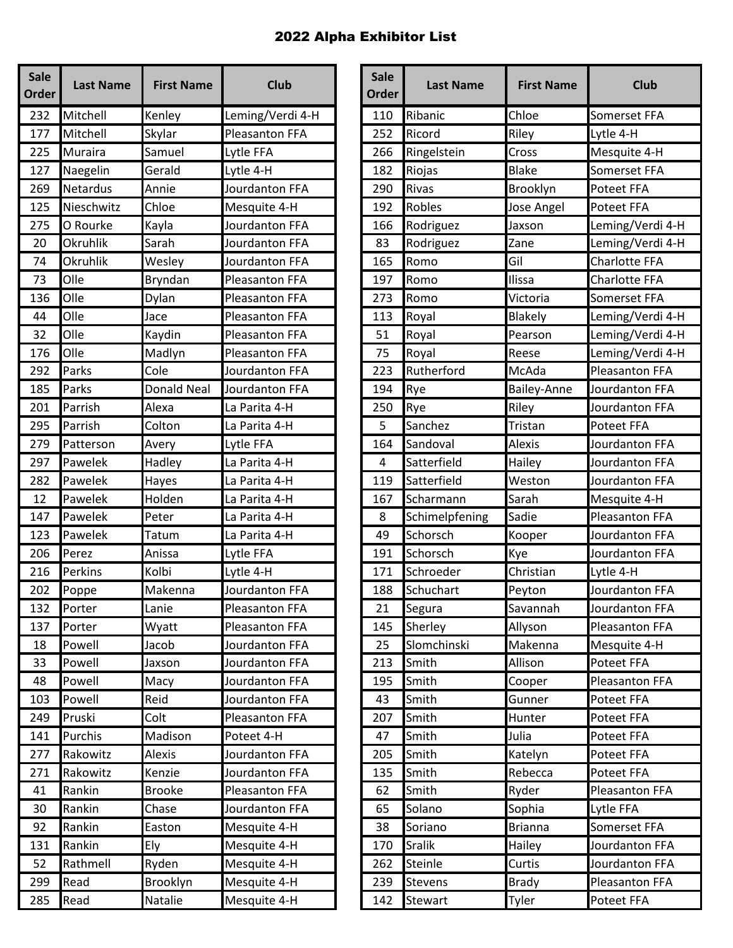| <b>Sale</b><br><b>Order</b> | <b>Last Name</b> | <b>First Name</b>  | <b>Club</b>           | <b>Sale</b><br><b>Order</b> | <b>Last Name</b> | <b>First Name</b> | <b>Club</b>   |
|-----------------------------|------------------|--------------------|-----------------------|-----------------------------|------------------|-------------------|---------------|
| 232                         | Mitchell         | Kenley             | Leming/Verdi 4-H      | 110                         | Ribanic          | Chloe             | Somerset FFA  |
| 177                         | Mitchell         | Skylar             | <b>Pleasanton FFA</b> | 252                         | Ricord           | Riley             | Lytle 4-H     |
| 225                         | Muraira          | Samuel             | Lytle FFA             | 266                         | Ringelstein      | Cross             | Mesquite 4-H  |
| 127                         | Naegelin         | Gerald             | Lytle 4-H             | 182                         | Riojas           | <b>Blake</b>      | Somerset FFA  |
| 269                         | <b>Netardus</b>  | Annie              | Jourdanton FFA        | 290                         | Rivas            | Brooklyn          | Poteet FFA    |
| 125                         | Nieschwitz       | Chloe              | Mesquite 4-H          | 192                         | Robles           | Jose Angel        | Poteet FFA    |
| 275                         | O Rourke         | Kayla              | Jourdanton FFA        | 166                         | Rodriguez        | Jaxson            | Leming/Verdi  |
| 20                          | Okruhlik         | Sarah              | Jourdanton FFA        | 83                          | Rodriguez        | Zane              | Leming/Verdi  |
| 74                          | <b>Okruhlik</b>  | Wesley             | Jourdanton FFA        | 165                         | Romo             | Gil               | Charlotte FFA |
| 73                          | Olle             | Bryndan            | Pleasanton FFA        | 197                         | Romo             | Ilissa            | Charlotte FFA |
| 136                         | Olle             | Dylan              | Pleasanton FFA        | 273                         | Romo             | Victoria          | Somerset FFA  |
| 44                          | Olle             | Jace               | Pleasanton FFA        | 113                         | Royal            | Blakely           | Leming/Verdi  |
| 32                          | Olle             | Kaydin             | Pleasanton FFA        | 51                          | Royal            | Pearson           | Leming/Verdi  |
| 176                         | Olle             | Madlyn             | Pleasanton FFA        | 75                          | Royal            | Reese             | Leming/Verdi  |
| 292                         | Parks            | Cole               | Jourdanton FFA        | 223                         | Rutherford       | McAda             | Pleasanton FF |
| 185                         | Parks            | <b>Donald Neal</b> | Jourdanton FFA        | 194                         | Rye              | Bailey-Anne       | Jourdanton FF |
| 201                         | Parrish          | Alexa              | La Parita 4-H         | 250                         | Rye              | Riley             | Jourdanton FF |
| 295                         | Parrish          | Colton             | La Parita 4-H         | 5                           | Sanchez          | Tristan           | Poteet FFA    |
| 279                         | Patterson        | Avery              | Lytle FFA             | 164                         | Sandoval         | <b>Alexis</b>     | Jourdanton FI |
| 297                         | Pawelek          | Hadley             | La Parita 4-H         | 4                           | Satterfield      | Hailey            | Jourdanton FI |
| 282                         | Pawelek          | Hayes              | La Parita 4-H         | 119                         | Satterfield      | Weston            | Jourdanton FI |
| 12                          | Pawelek          | Holden             | La Parita 4-H         | 167                         | Scharmann        | Sarah             | Mesquite 4-H  |
| 147                         | Pawelek          | Peter              | La Parita 4-H         | 8                           | Schimelpfening   | Sadie             | Pleasanton FF |
| 123                         | Pawelek          | Tatum              | La Parita 4-H         | 49                          | Schorsch         | Kooper            | Jourdanton FI |
| 206                         | Perez            | Anissa             | Lytle FFA             | 191                         | Schorsch         | Kye               | Jourdanton FF |
| 216                         | Perkins          | Kolbi              | Lytle 4-H             | 171                         | Schroeder        | Christian         | Lytle 4-H     |
| 202                         | Poppe            | Makenna            | Jourdanton FFA        | 188                         | Schuchart        | Peyton            | Jourdanton FI |
| 132                         | Porter           | Lanie              | Pleasanton FFA        | 21                          | Segura           | Savannah          | Jourdanton FI |
| 137                         | Porter           | Wyatt              | Pleasanton FFA        | 145                         | Sherley          | Allyson           | Pleasanton FF |
| 18                          | Powell           | Jacob              | Jourdanton FFA        | 25                          | Slomchinski      | Makenna           | Mesquite 4-H  |
| 33                          | Powell           | Jaxson             | Jourdanton FFA        | 213                         | Smith            | Allison           | Poteet FFA    |
| 48                          | Powell           | Macy               | Jourdanton FFA        | 195                         | Smith            | Cooper            | Pleasanton FF |
| 103                         | Powell           | Reid               | Jourdanton FFA        | 43                          | Smith            | Gunner            | Poteet FFA    |
| 249                         | Pruski           | Colt               | Pleasanton FFA        | 207                         | Smith            | Hunter            | Poteet FFA    |
| 141                         | Purchis          | Madison            | Poteet 4-H            | 47                          | Smith            | Julia             | Poteet FFA    |
| 277                         | Rakowitz         | Alexis             | Jourdanton FFA        | 205                         | Smith            | Katelyn           | Poteet FFA    |
| 271                         | Rakowitz         | Kenzie             | Jourdanton FFA        | 135                         | Smith            | Rebecca           | Poteet FFA    |
| 41                          | Rankin           | <b>Brooke</b>      | Pleasanton FFA        | 62                          | Smith            | Ryder             | Pleasanton FF |
| 30                          | Rankin           | Chase              | Jourdanton FFA        | 65                          | Solano           | Sophia            | Lytle FFA     |
| 92                          | Rankin           | Easton             | Mesquite 4-H          | 38                          | Soriano          | <b>Brianna</b>    | Somerset FFA  |
| 131                         | Rankin           | Ely                | Mesquite 4-H          | 170                         | <b>Sralik</b>    | Hailey            | Jourdanton FI |
| 52                          | Rathmell         | Ryden              | Mesquite 4-H          | 262                         | Steinle          | Curtis            | Jourdanton FI |
| 299                         | Read             | Brooklyn           | Mesquite 4-H          | 239                         | Stevens          | <b>Brady</b>      | Pleasanton FF |
| 285                         | Read             | Natalie            | Mesquite 4-H          | 142                         | Stewart          | Tyler             | Poteet FFA    |

| <b>Sale</b><br>rder | <b>Last Name</b> | <b>First Name</b>  | <b>Club</b>           | <b>Sale</b><br><b>Order</b> | <b>Last Name</b> | <b>First Name</b> | <b>Club</b>           |
|---------------------|------------------|--------------------|-----------------------|-----------------------------|------------------|-------------------|-----------------------|
| 232                 | Mitchell         | Kenley             | Leming/Verdi 4-H      | 110                         | Ribanic          | Chloe             | Somerset FFA          |
| 177                 | Mitchell         | Skylar             | <b>Pleasanton FFA</b> | 252                         | Ricord           | Riley             | Lytle 4-H             |
| 225                 | Muraira          | Samuel             | Lytle FFA             | 266                         | Ringelstein      | Cross             | Mesquite 4-H          |
| 127                 | Naegelin         | Gerald             | Lytle 4-H             | 182                         | Riojas           | <b>Blake</b>      | Somerset FFA          |
| 269                 | <b>Netardus</b>  | Annie              | Jourdanton FFA        | 290                         | Rivas            | Brooklyn          | Poteet FFA            |
| 125                 | Nieschwitz       | Chloe              | Mesquite 4-H          | 192                         | <b>Robles</b>    | Jose Angel        | <b>Poteet FFA</b>     |
| 275                 | O Rourke         | Kayla              | Jourdanton FFA        | 166                         | Rodriguez        | Jaxson            | Leming/Verdi 4-H      |
| 20                  | Okruhlik         | Sarah              | Jourdanton FFA        | 83                          | Rodriguez        | Zane              | Leming/Verdi 4-H      |
| 74                  | Okruhlik         | Wesley             | Jourdanton FFA        | 165                         | Romo             | Gil               | Charlotte FFA         |
| 73                  | Olle             | Bryndan            | Pleasanton FFA        | 197                         | Romo             | Ilissa            | Charlotte FFA         |
| 136                 | Olle             | Dylan              | <b>Pleasanton FFA</b> | 273                         | Romo             | Victoria          | Somerset FFA          |
| 44                  | Olle             | Jace               | Pleasanton FFA        | 113                         | Royal            | <b>Blakely</b>    | Leming/Verdi 4-H      |
| 32                  | Olle             | Kaydin             | <b>Pleasanton FFA</b> | 51                          | Royal            | Pearson           | Leming/Verdi 4-H      |
| 176                 | Olle             | Madlyn             | Pleasanton FFA        | 75                          | Royal            | Reese             | Leming/Verdi 4-H      |
| 292                 | Parks            | Cole               | Jourdanton FFA        | 223                         | Rutherford       | McAda             | <b>Pleasanton FFA</b> |
| 185                 | Parks            | <b>Donald Neal</b> | Jourdanton FFA        | 194                         | Rye              | Bailey-Anne       | Jourdanton FFA        |
| 201                 | Parrish          | Alexa              | La Parita 4-H         | 250                         | Rye              | Riley             | Jourdanton FFA        |
| 295                 | Parrish          | Colton             | La Parita 4-H         | 5                           | Sanchez          | Tristan           | Poteet FFA            |
| 279                 | Patterson        | Avery              | Lytle FFA             | 164                         | Sandoval         | <b>Alexis</b>     | Jourdanton FFA        |
| 297                 | Pawelek          | Hadley             | La Parita 4-H         | 4                           | Satterfield      | Hailey            | Jourdanton FFA        |
| 282                 | Pawelek          | Hayes              | La Parita 4-H         | 119                         | Satterfield      | Weston            | Jourdanton FFA        |
| 12                  | Pawelek          | Holden             | La Parita 4-H         | 167                         | Scharmann        | Sarah             | Mesquite 4-H          |
| 147                 | Pawelek          | Peter              | La Parita 4-H         | 8                           | Schimelpfening   | Sadie             | Pleasanton FFA        |
| 123                 | Pawelek          | Tatum              | La Parita 4-H         | 49                          | Schorsch         | Kooper            | Jourdanton FFA        |
| 206                 | Perez            | Anissa             | Lytle FFA             | 191                         | Schorsch         | Kye               | Jourdanton FFA        |
| 216                 | Perkins          | Kolbi              | Lytle 4-H             | 171                         | Schroeder        | Christian         | Lytle 4-H             |
| 202                 | Poppe            | Makenna            | Jourdanton FFA        | 188                         | Schuchart        | Peyton            | Jourdanton FFA        |
| 132                 | Porter           | Lanie              | <b>Pleasanton FFA</b> | 21                          | Segura           | Savannah          | Jourdanton FFA        |
| 137                 | Porter           | Wyatt              | Pleasanton FFA        | 145                         | Sherley          | Allyson           | Pleasanton FFA        |
| 18                  | Powell           | Jacob              | Jourdanton FFA        | 25                          | Slomchinski      | Makenna           | Mesquite 4-H          |
| 33                  | Powell           | Jaxson             | Jourdanton FFA        | 213                         | Smith            | Allison           | <b>Poteet FFA</b>     |
| 48                  | Powell           | Macy               | Jourdanton FFA        | 195                         | Smith            | Cooper            | <b>Pleasanton FFA</b> |
| 103                 | Powell           | Reid               | Jourdanton FFA        | 43                          | Smith            | Gunner            | Poteet FFA            |
| 249                 | Pruski           | Colt               | Pleasanton FFA        | 207                         | Smith            | Hunter            | Poteet FFA            |
| 141                 | Purchis          | Madison            | Poteet 4-H            | 47                          | Smith            | Julia             | Poteet FFA            |
| 277                 | Rakowitz         | <b>Alexis</b>      | Jourdanton FFA        | 205                         | Smith            | Katelyn           | Poteet FFA            |
| 271                 | Rakowitz         | Kenzie             | Jourdanton FFA        | 135                         | Smith            | Rebecca           | Poteet FFA            |
| 41                  | Rankin           | <b>Brooke</b>      | Pleasanton FFA        | 62                          | Smith            | Ryder             | Pleasanton FFA        |
| 30                  | Rankin           | Chase              | Jourdanton FFA        | 65                          | Solano           | Sophia            | Lytle FFA             |
| 92                  | Rankin           | Easton             | Mesquite 4-H          | 38                          | Soriano          | <b>Brianna</b>    | Somerset FFA          |
| 131                 | Rankin           | Ely                | Mesquite 4-H          | 170                         | <b>Sralik</b>    | Hailey            | Jourdanton FFA        |
| 52                  | Rathmell         | Ryden              | Mesquite 4-H          | 262                         | Steinle          | Curtis            | Jourdanton FFA        |
| 299                 | Read             | Brooklyn           | Mesquite 4-H          | 239                         | Stevens          | <b>Brady</b>      | Pleasanton FFA        |
| 285                 | Read             | Natalie            | Mesquite 4-H          | 142                         | Stewart          | Tyler             | Poteet FFA            |
|                     |                  |                    |                       |                             |                  |                   |                       |